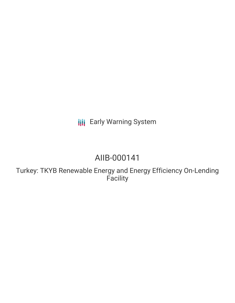**III** Early Warning System

# AIIB-000141

Turkey: TKYB Renewable Energy and Energy Efficiency On-Lending **Facility**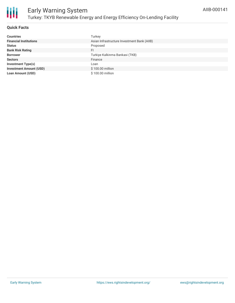

# **Quick Facts**

| <b>Countries</b>               | Turkey                                      |
|--------------------------------|---------------------------------------------|
| <b>Financial Institutions</b>  | Asian Infrastructure Investment Bank (AIIB) |
| <b>Status</b>                  | Proposed                                    |
| <b>Bank Risk Rating</b>        | FI                                          |
| <b>Borrower</b>                | Turkiye Kalkinma Bankasi (TKB)              |
| <b>Sectors</b>                 | Finance                                     |
| Investment Type(s)             | Loan                                        |
| <b>Investment Amount (USD)</b> | \$100.00 million                            |
| <b>Loan Amount (USD)</b>       | \$100.00 million                            |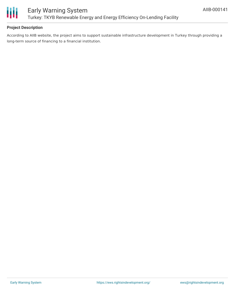

# **Project Description**

According to AIIB website, the project aims to support sustainable infrastructure development in Turkey through providing a long-term source of financing to a financial institution.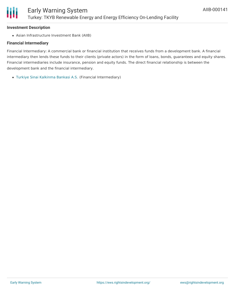

#### **Investment Description**

Asian Infrastructure Investment Bank (AIIB)

# **Financial Intermediary**

Financial Intermediary: A commercial bank or financial institution that receives funds from a development bank. A financial intermediary then lends these funds to their clients (private actors) in the form of loans, bonds, guarantees and equity shares. Financial intermediaries include insurance, pension and equity funds. The direct financial relationship is between the development bank and the financial intermediary.

Turkiye Sinai [Kalkinma](file:///actor/50/) Bankasi A.S. (Financial Intermediary)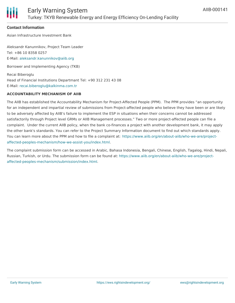

### **Contact Information**

Asian Infrastructure Investment Bank

Aleksandr Kanunnikov, Project Team Leader Tel: +86 10 8358 0257 E-Mail: [aleksandr.kanunnikov@aiib.org](mailto:aleksandr.kanunnikov@aiib.org)

Borrower and Implementing Agency (TKB)

Recai Biberoglu Head of Financial Institutions Departmant Tel: +90 312 231 43 08 E-Mail: [recai.biberoglu@kalkinma.com.tr](mailto:recai.biberoglu@kalkinma.com.tr)

#### **ACCOUNTABILITY MECHANISM OF AIIB**

The AIIB has established the Accountability Mechanism for Project-Affected People (PPM). The PPM provides "an opportunity for an independent and impartial review of submissions from Project-affected people who believe they have been or are likely to be adversely affected by AIIB's failure to implement the ESP in situations when their concerns cannot be addressed satisfactorily through Project level GRMs or AIIB Management processes." Two or more project-affected people can file a complaint. Under the current AIIB policy, when the bank co-finances a project with another development bank, it may apply the other bank's standards. You can refer to the Project Summary Information document to find out which standards apply. You can learn more about the PPM and how to file a complaint at: [https://www.aiib.org/en/about-aiib/who-we-are/project](https://www.aiib.org/en/about-aiib/who-we-are/project-affected-peoples-mechanism/how-we-assist-you/index.html)affected-peoples-mechanism/how-we-assist-you/index.html.

The complaint submission form can be accessed in Arabic, Bahasa Indonesia, Bengali, Chinese, English, Tagalog, Hindi, Nepali, Russian, Turkish, or Urdu. The submission form can be found at: [https://www.aiib.org/en/about-aiib/who-we-are/project](https://www.aiib.org/en/about-aiib/who-we-are/project-affected-peoples-mechanism/submission/index.html)affected-peoples-mechanism/submission/index.html.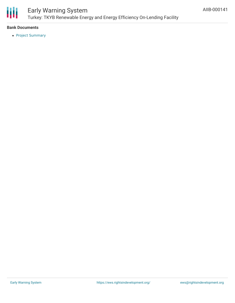

# Early Warning System Turkey: TKYB Renewable Energy and Energy Efficiency On-Lending Facility

## **Bank Documents**

• Project [Summary](https://www.aiib.org/en/projects/proposed/2018/_download/turkey/tkb-infrastructure-onlending-facility.pdf)